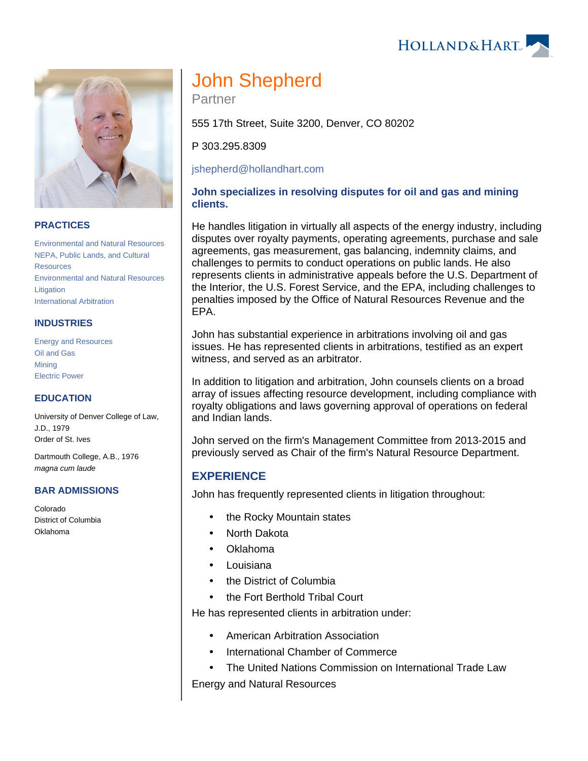HOLLAND& HART



## **PRACTICES**

[Environmental and Natural Resources](https://www.hollandhart.com/19667) [NEPA, Public Lands, and Cultural](https://www.hollandhart.com/19723)  **[Resources](https://www.hollandhart.com/19723)** [Environmental and Natural Resources](https://www.hollandhart.com/19745)  [Litigation](https://www.hollandhart.com/19745) [International Arbitration](https://www.hollandhart.com/33101)

## **INDUSTRIES**

[Energy and Resources](https://www.hollandhart.com/28508) [Oil and Gas](https://www.hollandhart.com/19705) **[Mining](https://www.hollandhart.com/19708)** [Electric Power](https://www.hollandhart.com/19737)

## **EDUCATION**

University of Denver College of Law, J.D., 1979 Order of St. Ives

Dartmouth College, A.B., 1976 magna cum laude

#### **BAR ADMISSIONS**

Colorado District of Columbia Oklahoma

# John Shepherd

Partner

555 17th Street, Suite 3200, Denver, CO 80202

P 303.295.8309

[jshepherd@hollandhart.com](mailto:jshepherd@hollandhart.com)

## **John specializes in resolving disputes for oil and gas and mining clients.**

He handles litigation in virtually all aspects of the energy industry, including disputes over royalty payments, operating agreements, purchase and sale agreements, gas measurement, gas balancing, indemnity claims, and challenges to permits to conduct operations on public lands. He also represents clients in administrative appeals before the U.S. Department of the Interior, the U.S. Forest Service, and the EPA, including challenges to penalties imposed by the Office of Natural Resources Revenue and the EPA.

John has substantial experience in arbitrations involving oil and gas issues. He has represented clients in arbitrations, testified as an expert witness, and served as an arbitrator.

In addition to litigation and arbitration, John counsels clients on a broad array of issues affecting resource development, including compliance with royalty obligations and laws governing approval of operations on federal and Indian lands.

John served on the firm's Management Committee from 2013-2015 and previously served as Chair of the firm's Natural Resource Department.

# **EXPERIENCE**

John has frequently represented clients in litigation throughout:

- the Rocky Mountain states
- North Dakota
- Oklahoma
- Louisiana
- the District of Columbia
- the Fort Berthold Tribal Court

He has represented clients in arbitration under:

- American Arbitration Association
- International Chamber of Commerce
- The United Nations Commission on International Trade Law Energy and Natural Resources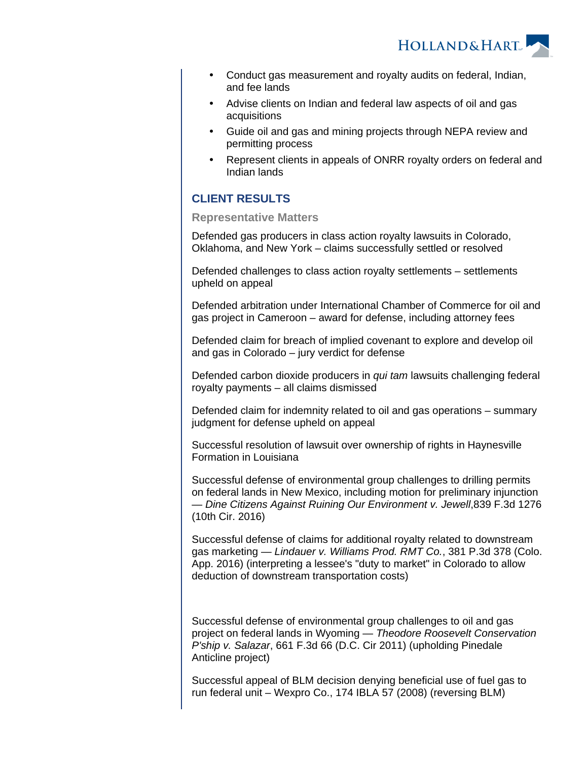HOLLAND& HART

- Conduct gas measurement and royalty audits on federal, Indian, and fee lands
- Advise clients on Indian and federal law aspects of oil and gas acquisitions
- Guide oil and gas and mining projects through NEPA review and permitting process
- Represent clients in appeals of ONRR royalty orders on federal and Indian lands

# **CLIENT RESULTS**

### **Representative Matters**

Defended gas producers in class action royalty lawsuits in Colorado, Oklahoma, and New York – claims successfully settled or resolved

Defended challenges to class action royalty settlements – settlements upheld on appeal

Defended arbitration under International Chamber of Commerce for oil and gas project in Cameroon – award for defense, including attorney fees

Defended claim for breach of implied covenant to explore and develop oil and gas in Colorado – jury verdict for defense

Defended carbon dioxide producers in qui tam lawsuits challenging federal royalty payments – all claims dismissed

Defended claim for indemnity related to oil and gas operations – summary judgment for defense upheld on appeal

Successful resolution of lawsuit over ownership of rights in Haynesville Formation in Louisiana

Successful defense of environmental group challenges to drilling permits on federal lands in New Mexico, including motion for preliminary injunction — Dine Citizens Against Ruining Our Environment v. Jewell,839 F.3d 1276 (10th Cir. 2016)

Successful defense of claims for additional royalty related to downstream gas marketing — Lindauer v. Williams Prod. RMT Co., 381 P.3d 378 (Colo. App. 2016) (interpreting a lessee's "duty to market" in Colorado to allow deduction of downstream transportation costs)

Successful defense of environmental group challenges to oil and gas project on federal lands in Wyoming — Theodore Roosevelt Conservation P'ship v. Salazar, 661 F.3d 66 (D.C. Cir 2011) (upholding Pinedale Anticline project)

Successful appeal of BLM decision denying beneficial use of fuel gas to run federal unit – Wexpro Co., 174 IBLA 57 (2008) (reversing BLM)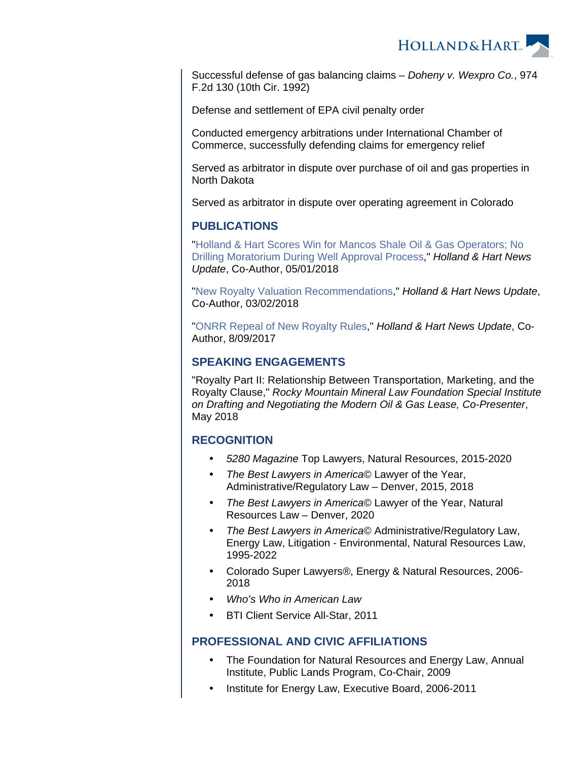

Successful defense of gas balancing claims – Doheny v. Wexpro Co., 974 F.2d 130 (10th Cir. 1992)

Defense and settlement of EPA civil penalty order

Conducted emergency arbitrations under International Chamber of Commerce, successfully defending claims for emergency relief

Served as arbitrator in dispute over purchase of oil and gas properties in North Dakota

Served as arbitrator in dispute over operating agreement in Colorado

## **PUBLICATIONS**

"[Holland & Hart Scores Win for Mancos Shale Oil & Gas Operators; No](https://www.hollandhart.com/34329)  [Drilling Moratorium During Well Approval Process](https://www.hollandhart.com/34329)," Holland & Hart News Update, Co-Author, 05/01/2018

"[New Royalty Valuation Recommendations](https://www.hollandhart.com/34084)," Holland & Hart News Update, Co-Author, 03/02/2018

"[ONRR Repeal of New Royalty Rules](https://www.hollandhart.com/33329)," Holland & Hart News Update, Co-Author, 8/09/2017

## **SPEAKING ENGAGEMENTS**

"Royalty Part II: Relationship Between Transportation, Marketing, and the Royalty Clause," Rocky Mountain Mineral Law Foundation Special Institute on Drafting and Negotiating the Modern Oil & Gas Lease, Co-Presenter, May 2018

## **RECOGNITION**

- 5280 Magazine Top Lawyers, Natural Resources, 2015-2020
- The Best Lawyers in America© Lawyer of the Year, Administrative/Regulatory Law – Denver, 2015, 2018
- The Best Lawyers in America© Lawyer of the Year, Natural Resources Law – Denver, 2020
- The Best Lawyers in America© Administrative/Regulatory Law, Energy Law, Litigation - Environmental, Natural Resources Law, 1995-2022
- Colorado Super Lawyers®, Energy & Natural Resources, 2006- 2018
- Who's Who in American Law
- BTI Client Service All-Star, 2011

## **PROFESSIONAL AND CIVIC AFFILIATIONS**

- The Foundation for Natural Resources and Energy Law, Annual Institute, Public Lands Program, Co-Chair, 2009
- Institute for Energy Law, Executive Board, 2006-2011